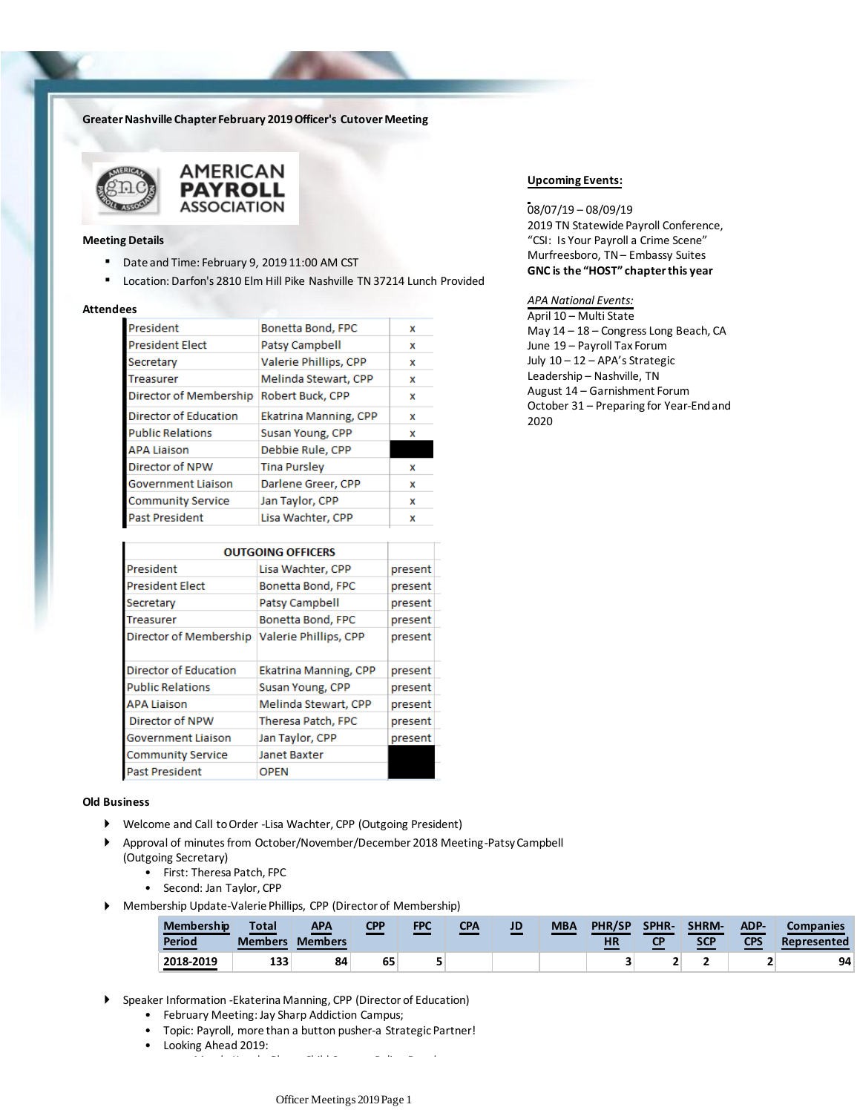# **Greater Nashville Chapter February 2019 Officer's Cutover Meeting**





#### **Meeting Details**

- Date and Time: February 9, 2019 11:00 AM CST
- Location: Darfon's 2810 Elm Hill Pike Nashville TN 37214 Lunch Provided

### **Attendees**

| Bonetta Bond, FPC     | x |
|-----------------------|---|
| Patsy Campbell        | x |
| Valerie Phillips, CPP | x |
| Melinda Stewart, CPP  | x |
| Robert Buck, CPP      | x |
| Ekatrina Manning, CPP | x |
| Susan Young, CPP      | x |
| Debbie Rule, CPP      |   |
| <b>Tina Pursley</b>   | x |
| Darlene Greer, CPP    | x |
| Jan Taylor, CPP       | x |
| Lisa Wachter, CPP     | x |
|                       |   |

| <b>OUTGOING OFFICERS</b>     |                              |         |
|------------------------------|------------------------------|---------|
|                              |                              |         |
| President                    | Lisa Wachter, CPP            | present |
| <b>President Elect</b>       | Bonetta Bond, FPC            | present |
| Secretary                    | Patsy Campbell               | present |
| Treasurer                    | Bonetta Bond, FPC            | present |
| Director of Membership       | Valerie Phillips, CPP        | present |
| <b>Director of Education</b> | <b>Ekatrina Manning, CPP</b> | present |
| <b>Public Relations</b>      | Susan Young, CPP             | present |
| <b>APA Liaison</b>           | Melinda Stewart, CPP         | present |
| Director of NPW              | Theresa Patch, FPC           | present |
| Government Liaison           | Jan Taylor, CPP              | present |
| <b>Community Service</b>     | Janet Baxter                 |         |
| Past President               | <b>OPEN</b>                  |         |

#### **Old Business**

- Welcome and Call to Order -Lisa Wachter, CPP (Outgoing President)
- Approval of minutes from October/November/December 2018 Meeting-Patsy Campbell (Outgoing Secretary)
	- First: Theresa Patch, FPC
	- Second: Jan Taylor, CPP
- Membership Update-Valerie Phillips, CPP (Director of Membership)

| Membership<br>Period | <b>Total</b><br><b>Members</b> | <b>APA</b><br><b>Members</b> | CPP | <b>FPC</b> | <b>CPA</b> | JD | <b>MBA</b> | <b>PHR/SP</b><br><b>HR</b> | <b>SPHR-</b><br>СP | <b>SHRM-</b><br>SCP | ADP-<br>CPS | <b>Companies</b><br>Represented |
|----------------------|--------------------------------|------------------------------|-----|------------|------------|----|------------|----------------------------|--------------------|---------------------|-------------|---------------------------------|
| 2018-2019            | 133                            | 84                           | 65  | -          |            |    |            |                            |                    |                     |             | 94                              |

- Speaker Information -Ekaterina Manning, CPP (Director of Education)
	- February Meeting: Jay Sharp Addiction Campus;
	- Topic: Payroll, more than a button pusher-a Strategic Partner!

er March: Krystle Glenn, Child Support Policy Development Development Development Development Development Deve<br>Development

• Looking Ahead 2019:

# **Upcoming Events:**

08/07/19 – 08/09/19 2019 TN Statewide Payroll Conference, "CSI: Is Your Payroll a Crime Scene" Murfreesboro, TN – Embassy Suites **GNC is the "HOST" chapter this year**

# *APA National Events:*

April 10 – Multi State May 14 – 18 – Congress Long Beach, CA June 19 – Payroll Tax Forum July 10 – 12 – APA's Strategic Leadership – Nashville, TN August 14 – Garnishment Forum October 31 – Preparing for Year-End and 2020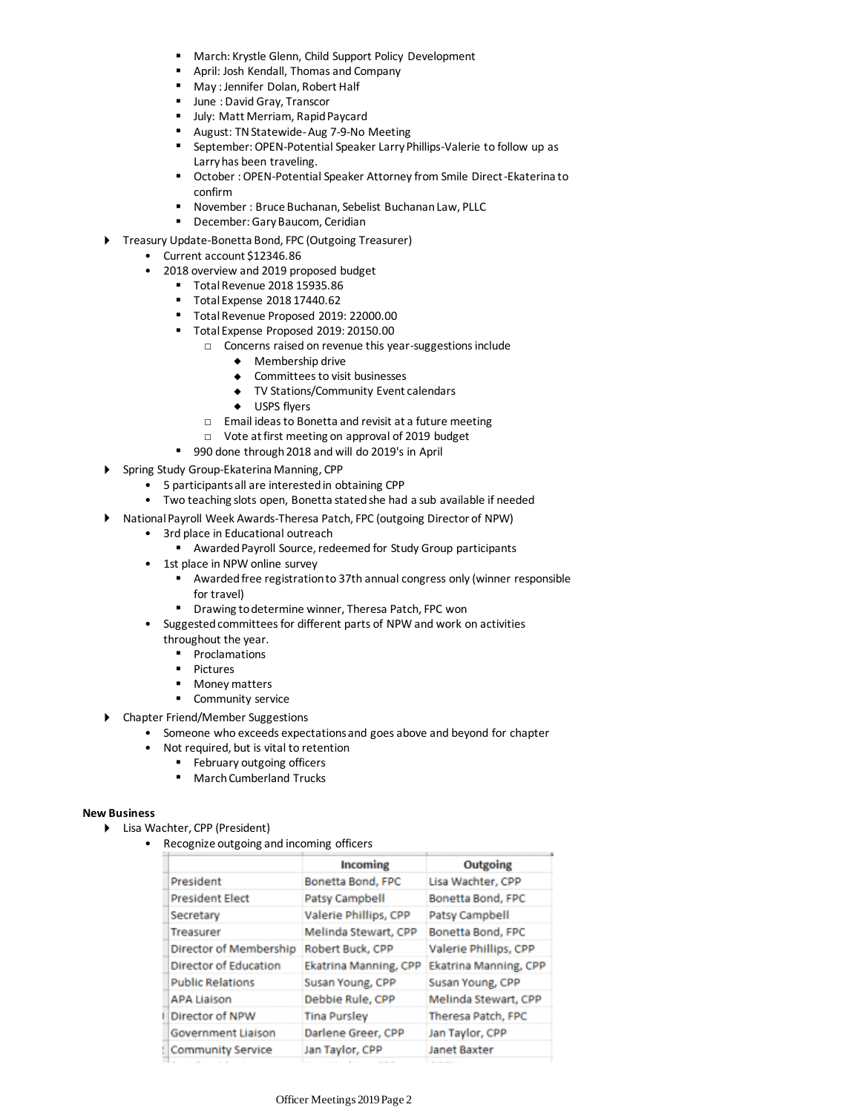- March: Krystle Glenn, Child Support Policy Development
- April: Josh Kendall, Thomas and Company
- May : Jennifer Dolan, Robert Half
- June : David Gray, Transcor
- July: Matt Merriam, Rapid Paycard
- August: TN Statewide-Aug 7-9-No Meeting
- September: OPEN-Potential Speaker Larry Phillips-Valerie to follow up as Larry has been traveling.
- October: OPEN-Potential Speaker Attorney from Smile Direct-Ekaterina to confirm
- November : Bruce Buchanan, Sebelist Buchanan Law, PLLC
- December: Gary Baucom, Ceridian
- ▶ Treasury Update-Bonetta Bond, FPC (Outgoing Treasurer)
	- Current account \$12346.86
	- 2018 overview and 2019 proposed budget
		- Total Revenue 2018 15935.86
		- Total Expense 2018 17440.62
		- Total Revenue Proposed 2019: 22000.00
		- Total Expense Proposed 2019: 20150.00
			- □ Concerns raised on revenue this year-suggestions include
				- $\triangleleft$  Membership drive
				- Committees to visit businesses
				- TV Stations/Community Event calendars
				- ◆ USPS flyers
			- □ Email ideas to Bonetta and revisit at a future meeting
			- □ Vote at first meeting on approval of 2019 budget
		- 990 done through 2018 and will do 2019's in April
- Spring Study Group-Ekaterina Manning, CPP
	- 5 participants all are interested in obtaining CPP
	- Two teaching slots open, Bonetta stated she had a sub available if needed
- National Payroll Week Awards-Theresa Patch, FPC (outgoing Director of NPW)
	- 3rd place in Educational outreach
		- Awarded Payroll Source, redeemed for Study Group participants
	- 1st place in NPW online survey
		- Awarded free registration to 37th annual congress only (winner responsible for travel)
		- Drawing to determine winner, Theresa Patch, FPC won
	- Suggested committees for different parts of NPW and work on activities throughout the year.
		- Proclamations
		- Pictures
		- Money matters
	- Community service
- Chapter Friend/Member Suggestions
	- Someone who exceeds expectations and goes above and beyond for chapter
		- Not required, but is vital to retention
			- February outgoing officers
			- March Cumberland Trucks

## **New Business**

- Lisa Wachter, CPP (President)
	- Recognize outgoing and incoming officers

|                              | Incoming              | Outgoing              |  |  |
|------------------------------|-----------------------|-----------------------|--|--|
| President                    | Bonetta Bond, FPC     | Lisa Wachter, CPP     |  |  |
| <b>President Elect</b>       | Patsy Campbell        | Bonetta Bond, FPC     |  |  |
| Secretary                    | Valerie Phillips, CPP | Patsy Campbell        |  |  |
| <b>Treasurer</b>             | Melinda Stewart, CPP  | Bonetta Bond, FPC     |  |  |
| Director of Membership       | Robert Buck, CPP      | Valerie Phillips, CPP |  |  |
| <b>Director of Education</b> | Ekatrina Manning, CPP | Ekatrina Manning, CPP |  |  |
| <b>Public Relations</b>      | Susan Young, CPP      | Susan Young, CPP      |  |  |
| <b>APA Liaison</b>           | Debbie Rule, CPP      | Melinda Stewart, CPP  |  |  |
| Director of NPW              | <b>Tina Pursley</b>   | Theresa Patch, FPC    |  |  |
| <b>Government Liaison</b>    | Darlene Greer, CPP    | Jan Taylor, CPP       |  |  |
| <b>Community Service</b>     | Jan Taylor, CPP       | Janet Baxter          |  |  |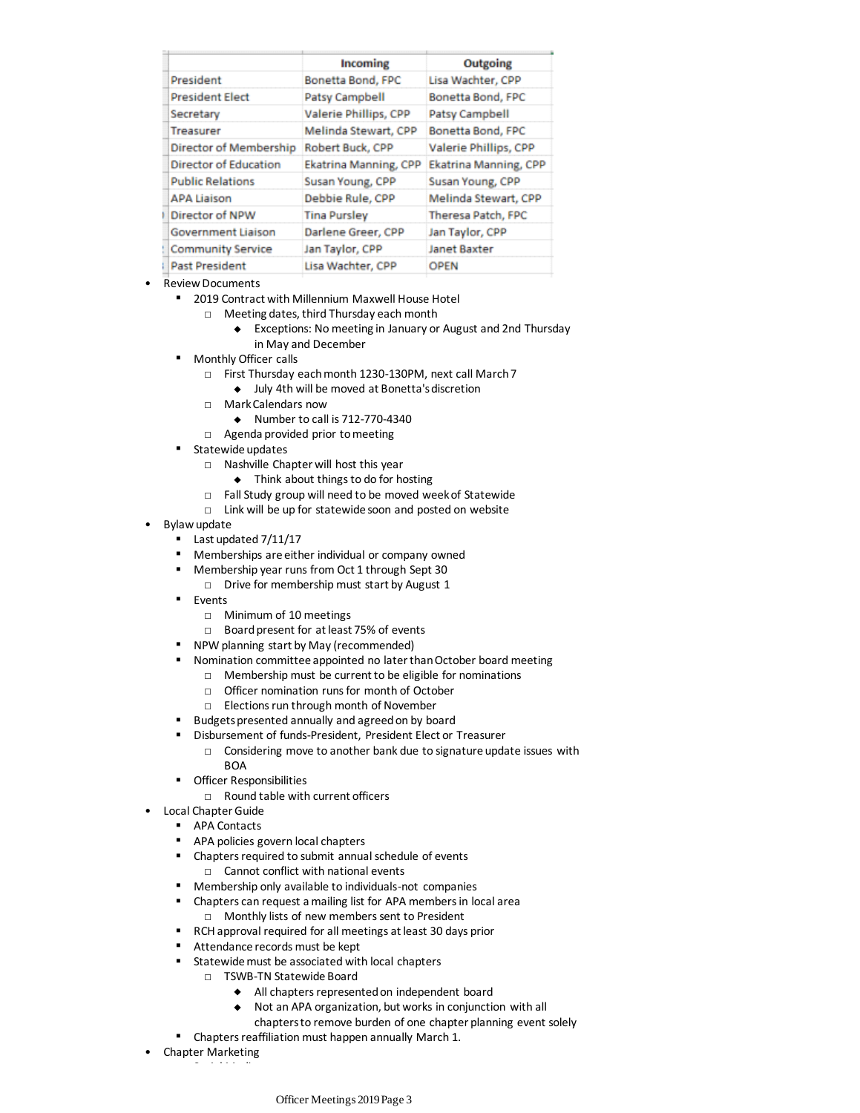|                              | Incoming              | Outgoing              |  |  |
|------------------------------|-----------------------|-----------------------|--|--|
| President                    | Bonetta Bond, FPC     | Lisa Wachter, CPP     |  |  |
| <b>President Elect</b>       | <b>Patsy Campbell</b> | Bonetta Bond, FPC     |  |  |
| Secretary                    | Valerie Phillips, CPP | Patsy Campbell        |  |  |
| <b>Treasurer</b>             | Melinda Stewart, CPP  | Bonetta Bond, FPC     |  |  |
| Director of Membership       | Robert Buck, CPP      | Valerie Phillips, CPP |  |  |
| <b>Director of Education</b> | Ekatrina Manning, CPP | Ekatrina Manning, CPP |  |  |
| <b>Public Relations</b>      | Susan Young, CPP      | Susan Young, CPP      |  |  |
| <b>APA Liaison</b>           | Debbie Rule, CPP      | Melinda Stewart, CPP  |  |  |
| Director of NPW              | <b>Tina Pursley</b>   | Theresa Patch, FPC    |  |  |
| <b>Government Liaison</b>    | Darlene Greer, CPP    | Jan Taylor, CPP       |  |  |
| <b>Community Service</b>     | Jan Taylor, CPP       | Janet Baxter          |  |  |
| <b>Past President</b>        | Lisa Wachter, CPP     | <b>OPEN</b>           |  |  |

- Review Documents
	- 2019 Contract with Millennium Maxwell House Hotel
		- □ Meeting dates, third Thursday each month
			- Exceptions: No meeting in January or August and 2nd Thursday in May and December
	- **Monthly Officer calls** 
		- □ First Thursday each month 1230-130PM, next call March 7
			- July 4th will be moved at Bonetta's discretion
		- □ Mark Calendars now
			- $\bullet$  Number to call is 712-770-4340
		- □ Agenda provided prior to meeting
	- Statewide updates
		- □ Nashville Chapter will host this year
			- $\bullet$  Think about things to do for hosting
		- □ Fall Study group will need to be moved week of Statewide
		- □ Link will be up for statewide soon and posted on website
- Bylaw update
	- Last updated 7/11/17
	- Memberships are either individual or company owned
	- Membership year runs from Oct 1 through Sept 30
		- □ Drive for membership must start by August 1
	- Events
		- □ Minimum of 10 meetings
		- □ Board present for at least 75% of events
	- NPW planning start by May (recommended)
	- Nomination committee appointed no later than October board meeting
		- □ Membership must be current to be eligible for nominations
		- □ Officer nomination runs for month of October
		- □ Elections run through month of November
	- Budgets presented annually and agreed on by board
	- Disbursement of funds-President, President Elect or Treasurer
		- □ Considering move to another bank due to signature update issues with **BOA**
	- Officer Responsibilities
		- $\neg$  Round table with current officers
- Local Chapter Guide
	- APA Contacts
		- APA policies govern local chapters
		- □ Cannot conflict with national events ■ Chapters required to submit annual schedule of events
		- Membership only available to individuals-not companies
		- □ Monthly lists of new members sent to President ■ Chapters can request a mailing list for APA members in local area
		- RCH approval required for all meetings at least 30 days prior
		- Attendance records must be kept
		- Statewide must be associated with local chapters
			- □ TSWB-TN Statewide Board
				- All chapters represented on independent board
				- Not an APA organization, but works in conjunction with all
				- chapters to remove burden of one chapter planning event solely
		- Chapters reaffiliation must happen annually March 1.
- Chapter Marketing
	- Social Media